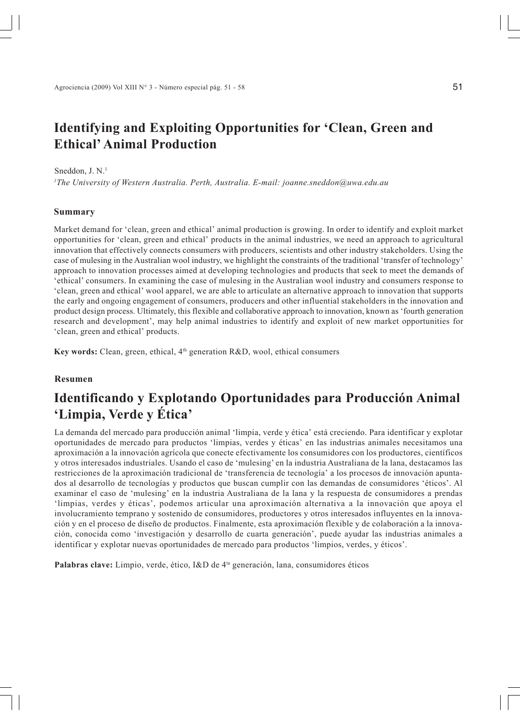# **Identifying and Exploiting Opportunities for 'Clean, Green and Ethical' Animal Production**

#### Sneddon, J. N.<sup>1</sup>

*1 The University of Western Australia. Perth, Australia. E-mail: joanne.sneddon@uwa.edu.au*

#### **Summary**

Market demand for 'clean, green and ethical' animal production is growing. In order to identify and exploit market opportunities for 'clean, green and ethical' products in the animal industries, we need an approach to agricultural innovation that effectively connects consumers with producers, scientists and other industry stakeholders. Using the case of mulesing in the Australian wool industry, we highlight the constraints of the traditional 'transfer of technology' approach to innovation processes aimed at developing technologies and products that seek to meet the demands of 'ethical' consumers. In examining the case of mulesing in the Australian wool industry and consumers response to 'clean, green and ethical' wool apparel, we are able to articulate an alternative approach to innovation that supports the early and ongoing engagement of consumers, producers and other influential stakeholders in the innovation and product design process. Ultimately, this flexible and collaborative approach to innovation, known as 'fourth generation research and development', may help animal industries to identify and exploit of new market opportunities for 'clean, green and ethical' products.

Key words: Clean, green, ethical, 4<sup>th</sup> generation R&D, wool, ethical consumers

#### **Resumen**

## **Identificando y Explotando Oportunidades para Producción Animal 'Limpia, Verde y Ética'**

La demanda del mercado para producción animal 'limpia, verde y ética' está creciendo. Para identificar y explotar oportunidades de mercado para productos 'limpias, verdes y éticas' en las industrias animales necesitamos una aproximación a la innovación agrícola que conecte efectivamente los consumidores con los productores, científicos y otros interesados industriales. Usando el caso de 'mulesing' en la industria Australiana de la lana, destacamos las restricciones de la aproximación tradicional de 'transferencia de tecnología' a los procesos de innovación apuntados al desarrollo de tecnologías y productos que buscan cumplir con las demandas de consumidores 'éticos'. Al examinar el caso de 'mulesing' en la industria Australiana de la lana y la respuesta de consumidores a prendas 'limpias, verdes y éticas', podemos articular una aproximación alternativa a la innovación que apoya el involucramiento temprano y sostenido de consumidores, productores y otros interesados influyentes en la innovación y en el proceso de diseño de productos. Finalmente, esta aproximación flexible y de colaboración a la innovación, conocida como 'investigación y desarrollo de cuarta generación', puede ayudar las industrias animales a identificar y explotar nuevas oportunidades de mercado para productos 'limpios, verdes, y éticos'.

Palabras clave: Limpio, verde, ético, I&D de <sup>4ta</sup> generación, lana, consumidores éticos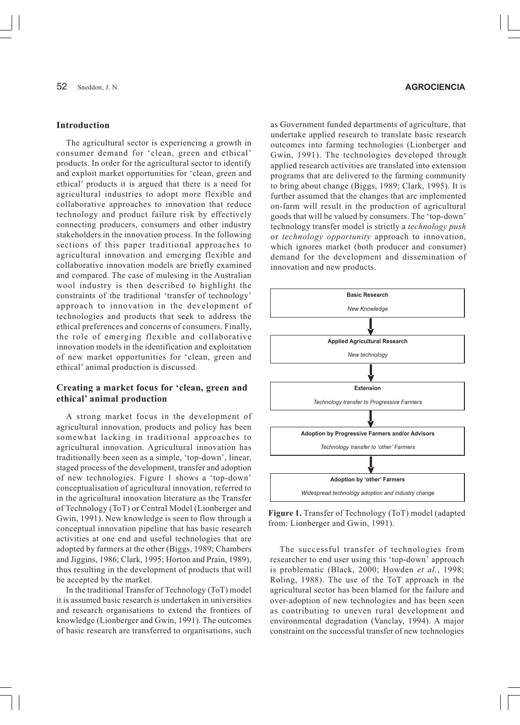#### **Introduction**

The agricultural sector is experiencing a growth in consumer demand for 'clean, green and ethical' products. In order for the agricultural sector to identify and exploit market opportunities for 'clean, green and ethical' products it is argued that there is a need for agricultural industries to adopt more flexible and collaborative approaches to innovation that reduce technology and product failure risk by effectively connecting producers, consumers and other industry stakeholders in the innovation process. In the following sections of this paper traditional approaches to agricultural innovation and emerging flexible and collaborative innovation models are briefly examined and compared. The case of mulesing in the Australian wool industry is then described to highlight the constraints of the traditional 'transfer of technology' approach to innovation in the development of technologies and products that seek to address the ethical preferences and concerns of consumers. Finally, the role of emerging flexible and collaborative innovation models in the identification and exploitation of new market opportunities for 'clean, green and ethical' animal production is discussed.

## **Creating a market focus for 'clean, green and ethical' animal production**

A strong market focus in the development of agricultural innovation, products and policy has been somewhat lacking in traditional approaches to agricultural innovation. Agricultural innovation has traditionally been seen as a simple, 'top-down', linear, staged process of the development, transfer and adoption of new technologies. Figure 1 shows a 'top-down' conceptualisation of agricultural innovation, referred to in the agricultural innovation literature as the Transfer of Technology (ToT) or Central Model (Lionberger and Gwin, 1991). New knowledge is seen to flow through a conceptual innovation pipeline that has basic research activities at one end and useful technologies that are adopted by farmers at the other (Biggs, 1989; Chambers and Jiggins, 1986; Clark, 1995; Horton and Prain, 1989), thus resulting in the development of products that will be accepted by the market.

In the traditional Transfer of Technology (ToT) model it is assumed basic research is undertaken in universities and research organisations to extend the frontiers of knowledge (Lionberger and Gwin, 1991). The outcomes of basic research are transferred to organisations, such

#### 52 Sneddon, J. N.

as Government funded departments of agriculture, that undertake applied research to translate basic research outcomes into farming technologies (Lionberger and Gwin, 1991). The technologies developed through applied research activities are translated into extension programs that are delivered to the farming community to bring about change (Biggs, 1989; Clark, 1995). It is further assumed that the changes that are implemented on-farm will result in the production of agricultural goods that will be valued by consumers. The 'top-down' technology transfer model is strictly a *technology push* or *technology opportunity* approach to innovation, which ignores market (both producer and consumer) demand for the development and dissemination of innovation and new products.



**Figure 1.** Transfer of Technology (ToT) model (adapted from: Lionberger and Gwin, 1991).

The successful transfer of technologies from researcher to end user using this 'top-down' approach is problematic (Black, 2000; Howden *et al.*, 1998; Roling, 1988). The use of the ToT approach in the agricultural sector has been blamed for the failure and over-adoption of new technologies and has been seen as contributing to uneven rural development and environmental degradation (Vanclay, 1994). A major constraint on the successful transfer of new technologies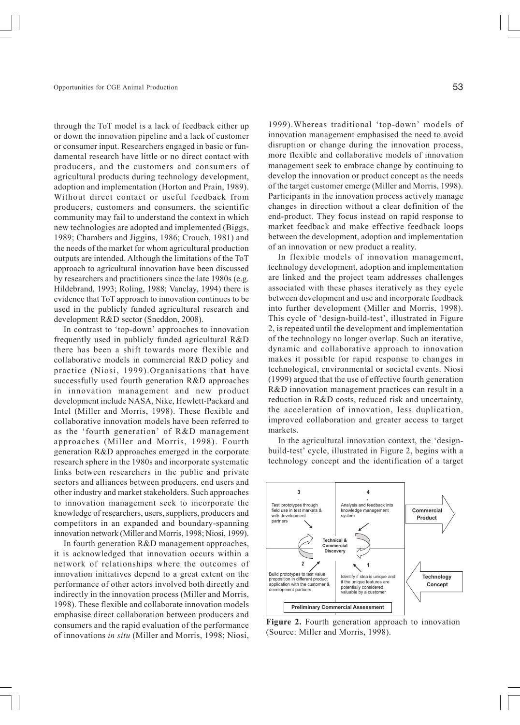through the ToT model is a lack of feedback either up or down the innovation pipeline and a lack of customer or consumer input. Researchers engaged in basic or fundamental research have little or no direct contact with producers, and the customers and consumers of agricultural products during technology development, adoption and implementation (Horton and Prain, 1989). Without direct contact or useful feedback from producers, customers and consumers, the scientific community may fail to understand the context in which new technologies are adopted and implemented (Biggs, 1989; Chambers and Jiggins, 1986; Crouch, 1981) and the needs of the market for whom agricultural production outputs are intended. Although the limitations of the ToT approach to agricultural innovation have been discussed by researchers and practitioners since the late 1980s (e.g. Hildebrand, 1993; Roling, 1988; Vanclay, 1994) there is evidence that ToT approach to innovation continues to be used in the publicly funded agricultural research and development R&D sector (Sneddon, 2008).

In contrast to 'top-down' approaches to innovation frequently used in publicly funded agricultural R&D there has been a shift towards more flexible and collaborative models in commercial R&D policy and practice (Niosi, 1999).Organisations that have successfully used fourth generation R&D approaches in innovation management and new product development include NASA, Nike, Hewlett-Packard and Intel (Miller and Morris, 1998). These flexible and collaborative innovation models have been referred to as the 'fourth generation' of R&D management approaches (Miller and Morris, 1998). Fourth generation R&D approaches emerged in the corporate research sphere in the 1980s and incorporate systematic links between researchers in the public and private sectors and alliances between producers, end users and other industry and market stakeholders. Such approaches to innovation management seek to incorporate the knowledge of researchers, users, suppliers, producers and competitors in an expanded and boundary-spanning innovation network (Miller and Morris, 1998; Niosi, 1999).

In fourth generation R&D management approaches, it is acknowledged that innovation occurs within a network of relationships where the outcomes of innovation initiatives depend to a great extent on the performance of other actors involved both directly and indirectly in the innovation process (Miller and Morris, 1998). These flexible and collaborate innovation models emphasise direct collaboration between producers and consumers and the rapid evaluation of the performance of innovations *in situ* (Miller and Morris, 1998; Niosi, 1999).Whereas traditional 'top-down' models of innovation management emphasised the need to avoid disruption or change during the innovation process, more flexible and collaborative models of innovation management seek to embrace change by continuing to develop the innovation or product concept as the needs of the target customer emerge (Miller and Morris, 1998). Participants in the innovation process actively manage changes in direction without a clear definition of the end-product. They focus instead on rapid response to market feedback and make effective feedback loops between the development, adoption and implementation of an innovation or new product a reality.

In flexible models of innovation management, technology development, adoption and implementation are linked and the project team addresses challenges associated with these phases iteratively as they cycle between development and use and incorporate feedback into further development (Miller and Morris, 1998). This cycle of 'design-build-test', illustrated in Figure 2, is repeated until the development and implementation of the technology no longer overlap. Such an iterative, dynamic and collaborative approach to innovation makes it possible for rapid response to changes in technological, environmental or societal events. Niosi (1999) argued that the use of effective fourth generation R&D innovation management practices can result in a reduction in R&D costs, reduced risk and uncertainty, the acceleration of innovation, less duplication, improved collaboration and greater access to target markets.

In the agricultural innovation context, the 'designbuild-test' cycle, illustrated in Figure 2, begins with a technology concept and the identification of a target



Figure 2. Fourth generation approach to innovation (Source: Miller and Morris, 1998).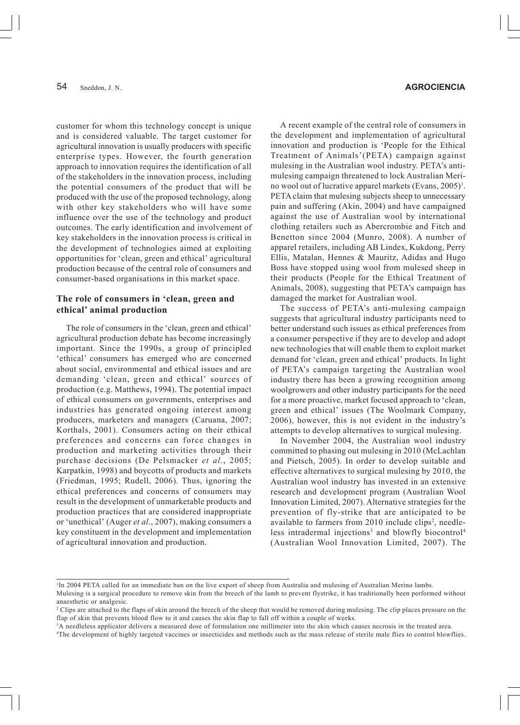customer for whom this technology concept is unique and is considered valuable. The target customer for agricultural innovation is usually producers with specific enterprise types. However, the fourth generation approach to innovation requires the identification of all of the stakeholders in the innovation process, including the potential consumers of the product that will be produced with the use of the proposed technology, along with other key stakeholders who will have some influence over the use of the technology and product outcomes. The early identification and involvement of key stakeholders in the innovation process is critical in the development of technologies aimed at exploiting opportunities for 'clean, green and ethical' agricultural production because of the central role of consumers and consumer-based organisations in this market space.

#### **The role of consumers in 'clean, green and ethical' animal production**

The role of consumers in the 'clean, green and ethical' agricultural production debate has become increasingly important. Since the 1990s, a group of principled 'ethical' consumers has emerged who are concerned about social, environmental and ethical issues and are demanding 'clean, green and ethical' sources of production (e.g. Matthews, 1994). The potential impact of ethical consumers on governments, enterprises and industries has generated ongoing interest among producers, marketers and managers (Caruana, 2007; Korthals, 2001). Consumers acting on their ethical preferences and concerns can force changes in production and marketing activities through their purchase decisions (De Pelsmacker *et al*., 2005; Karpatkin, 1998) and boycotts of products and markets (Friedman, 1995; Rudell, 2006). Thus, ignoring the ethical preferences and concerns of consumers may result in the development of unmarketable products and production practices that are considered inappropriate or 'unethical' (Auger *et al*., 2007), making consumers a key constituent in the development and implementation of agricultural innovation and production.

## 54 **AGROCIENCIA**

A recent example of the central role of consumers in the development and implementation of agricultural innovation and production is 'People for the Ethical Treatment of Animals'(PETA) campaign against mulesing in the Australian wool industry. PETA's antimulesing campaign threatened to lock Australian Merino wool out of lucrative apparel markets (Evans, 2005)<sup>1</sup>. PETA claim that mulesing subjects sheep to unnecessary pain and suffering (Akin, 2004) and have campaigned against the use of Australian wool by international clothing retailers such as Abercrombie and Fitch and Benetton since 2004 (Munro, 2008). A number of apparel retailers, including AB Lindex, Kukdong, Perry Ellis, Matalan, Hennes & Mauritz, Adidas and Hugo Boss have stopped using wool from mulesed sheep in their products (People for the Ethical Treatment of Animals, 2008), suggesting that PETA's campaign has damaged the market for Australian wool.

The success of PETA's anti-mulesing campaign suggests that agricultural industry participants need to better understand such issues as ethical preferences from a consumer perspective if they are to develop and adopt new technologies that will enable them to exploit market demand for 'clean, green and ethical' products. In light of PETA's campaign targeting the Australian wool industry there has been a growing recognition among woolgrowers and other industry participants for the need for a more proactive, market focused approach to 'clean, green and ethical' issues (The Woolmark Company, 2006), however, this is not evident in the industry's attempts to develop alternatives to surgical mulesing.

In November 2004, the Australian wool industry committed to phasing out mulesing in 2010 (McLachlan and Pietsch, 2005). In order to develop suitable and effective alternatives to surgical mulesing by 2010, the Australian wool industry has invested in an extensive research and development program (Australian Wool Innovation Limited, 2007). Alternative strategies for the prevention of fly-strike that are anticipated to be available to farmers from 2010 include clips<sup>2</sup>, needleless intradermal injections<sup>3</sup> and blowfly biocontrol<sup>4</sup> (Australian Wool Innovation Limited, 2007). The

<sup>&</sup>lt;sup>1</sup>In 2004 PETA called for an immediate ban on the live export of sheep from Australia and mulesing of Australian Merino lambs.

Mulesing is a surgical procedure to remove skin from the breech of the lamb to prevent flystrike, it has traditionally been performed without anaesthetic or analgesic.

<sup>&</sup>lt;sup>2</sup> Clips are attached to the flaps of skin around the breech of the sheep that would be removed during mulesing. The clip places pressure on the flap of skin that prevents blood flow to it and causes the skin flap to fall off within a couple of weeks.

<sup>&</sup>lt;sup>3</sup>A needleless applicator delivers a measured dose of formulation one millimeter into the skin which causes necrosis in the treated area.

<sup>4</sup> The development of highly targeted vaccines or insecticides and methods such as the mass release of sterile male flies to control blowflies.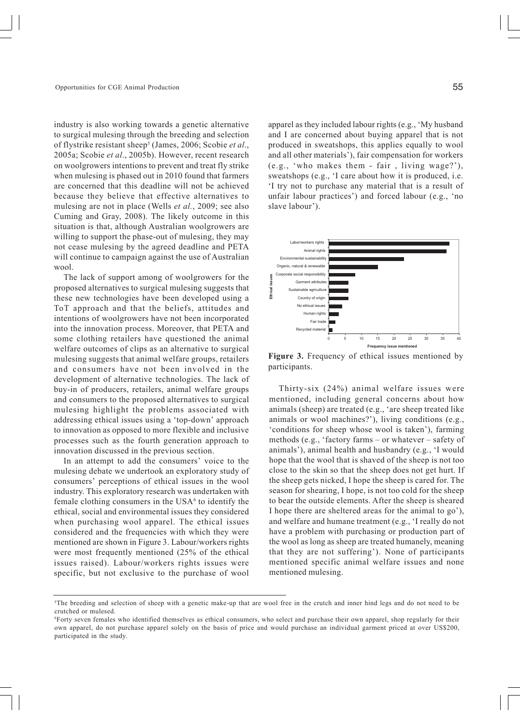industry is also working towards a genetic alternative to surgical mulesing through the breeding and selection of flystrike resistant sheep5 (James, 2006; Scobie *et al*., 2005a; Scobie *et al*., 2005b). However, recent research on woolgrowers intentions to prevent and treat fly strike when mulesing is phased out in 2010 found that farmers are concerned that this deadline will not be achieved because they believe that effective alternatives to mulesing are not in place (Wells *et al.*, 2009; see also Cuming and Gray, 2008). The likely outcome in this situation is that, although Australian woolgrowers are willing to support the phase-out of mulesing, they may not cease mulesing by the agreed deadline and PETA will continue to campaign against the use of Australian wool.

The lack of support among of woolgrowers for the proposed alternatives to surgical mulesing suggests that these new technologies have been developed using a ToT approach and that the beliefs, attitudes and intentions of woolgrowers have not been incorporated into the innovation process. Moreover, that PETA and some clothing retailers have questioned the animal welfare outcomes of clips as an alternative to surgical mulesing suggests that animal welfare groups, retailers and consumers have not been involved in the development of alternative technologies. The lack of buy-in of producers, retailers, animal welfare groups and consumers to the proposed alternatives to surgical mulesing highlight the problems associated with addressing ethical issues using a 'top-down' approach to innovation as opposed to more flexible and inclusive processes such as the fourth generation approach to innovation discussed in the previous section.

In an attempt to add the consumers' voice to the mulesing debate we undertook an exploratory study of consumers' perceptions of ethical issues in the wool industry. This exploratory research was undertaken with female clothing consumers in the  $USA<sup>6</sup>$  to identify the ethical, social and environmental issues they considered when purchasing wool apparel. The ethical issues considered and the frequencies with which they were mentioned are shown in Figure 3. Labour/workers rights were most frequently mentioned (25% of the ethical issues raised). Labour/workers rights issues were specific, but not exclusive to the purchase of wool apparel as they included labour rights (e.g., 'My husband and I are concerned about buying apparel that is not produced in sweatshops, this applies equally to wool and all other materials'), fair compensation for workers (e.g., 'who makes them - fair , living wage?'), sweatshops (e.g., 'I care about how it is produced, i.e. 'I try not to purchase any material that is a result of unfair labour practices') and forced labour (e.g., 'no slave labour').



**Figure 3.** Frequency of ethical issues mentioned by participants.

Thirty-six (24%) animal welfare issues were mentioned, including general concerns about how animals (sheep) are treated (e.g., 'are sheep treated like animals or wool machines?'), living conditions (e.g., 'conditions for sheep whose wool is taken'), farming methods (e.g., 'factory farms – or whatever – safety of animals'), animal health and husbandry (e.g., 'I would hope that the wool that is shaved of the sheep is not too close to the skin so that the sheep does not get hurt. If the sheep gets nicked, I hope the sheep is cared for. The season for shearing, I hope, is not too cold for the sheep to bear the outside elements. After the sheep is sheared I hope there are sheltered areas for the animal to go'), and welfare and humane treatment (e.g., 'I really do not have a problem with purchasing or production part of the wool as long as sheep are treated humanely, meaning that they are not suffering'). None of participants mentioned specific animal welfare issues and none mentioned mulesing.

<sup>5</sup> The breeding and selection of sheep with a genetic make-up that are wool free in the crutch and inner hind legs and do not need to be crutched or mulesed.

<sup>6</sup> Forty seven females who identified themselves as ethical consumers, who select and purchase their own apparel, shop regularly for their own apparel, do not purchase apparel solely on the basis of price and would purchase an individual garment priced at over US\$200, participated in the study.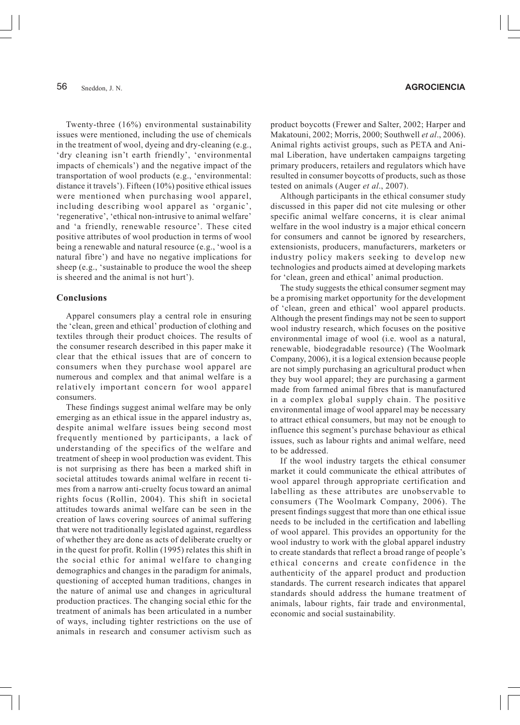Twenty-three (16%) environmental sustainability issues were mentioned, including the use of chemicals in the treatment of wool, dyeing and dry-cleaning (e.g., 'dry cleaning isn't earth friendly', 'environmental impacts of chemicals') and the negative impact of the transportation of wool products (e.g., 'environmental: distance it travels'). Fifteen (10%) positive ethical issues were mentioned when purchasing wool apparel, including describing wool apparel as 'organic', 'regenerative', 'ethical non-intrusive to animal welfare' and 'a friendly, renewable resource'. These cited positive attributes of wool production in terms of wool being a renewable and natural resource (e.g., 'wool is a natural fibre') and have no negative implications for sheep (e.g., 'sustainable to produce the wool the sheep is sheered and the animal is not hurt').

#### **Conclusions**

Apparel consumers play a central role in ensuring the 'clean, green and ethical' production of clothing and textiles through their product choices. The results of the consumer research described in this paper make it clear that the ethical issues that are of concern to consumers when they purchase wool apparel are numerous and complex and that animal welfare is a relatively important concern for wool apparel consumers.

These findings suggest animal welfare may be only emerging as an ethical issue in the apparel industry as, despite animal welfare issues being second most frequently mentioned by participants, a lack of understanding of the specifics of the welfare and treatment of sheep in wool production was evident. This is not surprising as there has been a marked shift in societal attitudes towards animal welfare in recent times from a narrow anti-cruelty focus toward an animal rights focus (Rollin, 2004). This shift in societal attitudes towards animal welfare can be seen in the creation of laws covering sources of animal suffering that were not traditionally legislated against, regardless of whether they are done as acts of deliberate cruelty or in the quest for profit. Rollin (1995) relates this shift in the social ethic for animal welfare to changing demographics and changes in the paradigm for animals, questioning of accepted human traditions, changes in the nature of animal use and changes in agricultural production practices. The changing social ethic for the treatment of animals has been articulated in a number of ways, including tighter restrictions on the use of animals in research and consumer activism such as

#### 56 Sneddon J. N. **AGROCIENCIA**

product boycotts (Frewer and Salter, 2002; Harper and Makatouni, 2002; Morris, 2000; Southwell *et al*., 2006). Animal rights activist groups, such as PETA and Animal Liberation, have undertaken campaigns targeting primary producers, retailers and regulators which have resulted in consumer boycotts of products, such as those tested on animals (Auger *et al*., 2007).

Although participants in the ethical consumer study discussed in this paper did not cite mulesing or other specific animal welfare concerns, it is clear animal welfare in the wool industry is a major ethical concern for consumers and cannot be ignored by researchers, extensionists, producers, manufacturers, marketers or industry policy makers seeking to develop new technologies and products aimed at developing markets for 'clean, green and ethical' animal production.

The study suggests the ethical consumer segment may be a promising market opportunity for the development of 'clean, green and ethical' wool apparel products. Although the present findings may not be seen to support wool industry research, which focuses on the positive environmental image of wool (i.e. wool as a natural, renewable, biodegradable resource) (The Woolmark Company, 2006), it is a logical extension because people are not simply purchasing an agricultural product when they buy wool apparel; they are purchasing a garment made from farmed animal fibres that is manufactured in a complex global supply chain. The positive environmental image of wool apparel may be necessary to attract ethical consumers, but may not be enough to influence this segment's purchase behaviour as ethical issues, such as labour rights and animal welfare, need to be addressed.

If the wool industry targets the ethical consumer market it could communicate the ethical attributes of wool apparel through appropriate certification and labelling as these attributes are unobservable to consumers (The Woolmark Company, 2006). The present findings suggest that more than one ethical issue needs to be included in the certification and labelling of wool apparel. This provides an opportunity for the wool industry to work with the global apparel industry to create standards that reflect a broad range of people's ethical concerns and create confidence in the authenticity of the apparel product and production standards. The current research indicates that apparel standards should address the humane treatment of animals, labour rights, fair trade and environmental, economic and social sustainability.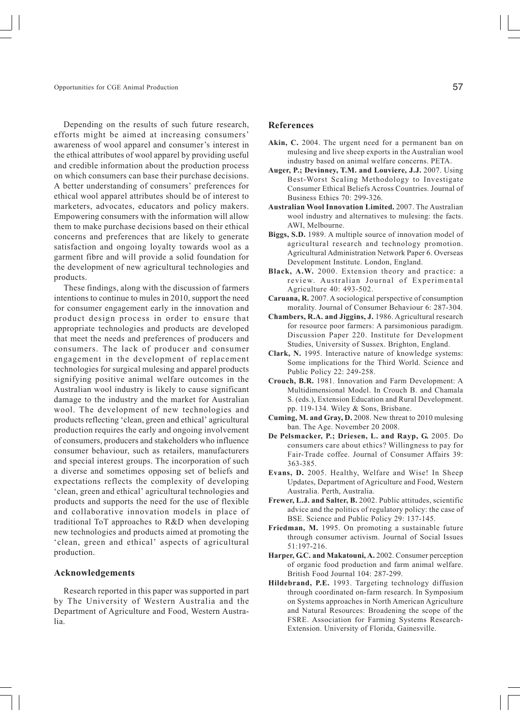Opportunities for CGE Animal Production

Depending on the results of such future research, efforts might be aimed at increasing consumers' awareness of wool apparel and consumer's interest in the ethical attributes of wool apparel by providing useful and credible information about the production process on which consumers can base their purchase decisions. A better understanding of consumers' preferences for ethical wool apparel attributes should be of interest to marketers, advocates, educators and policy makers. Empowering consumers with the information will allow them to make purchase decisions based on their ethical concerns and preferences that are likely to generate satisfaction and ongoing loyalty towards wool as a garment fibre and will provide a solid foundation for the development of new agricultural technologies and products.

These findings, along with the discussion of farmers intentions to continue to mules in 2010, support the need for consumer engagement early in the innovation and product design process in order to ensure that appropriate technologies and products are developed that meet the needs and preferences of producers and consumers. The lack of producer and consumer engagement in the development of replacement technologies for surgical mulesing and apparel products signifying positive animal welfare outcomes in the Australian wool industry is likely to cause significant damage to the industry and the market for Australian wool. The development of new technologies and products reflecting 'clean, green and ethical' agricultural production requires the early and ongoing involvement of consumers, producers and stakeholders who influence consumer behaviour, such as retailers, manufacturers and special interest groups. The incorporation of such a diverse and sometimes opposing set of beliefs and expectations reflects the complexity of developing 'clean, green and ethical' agricultural technologies and products and supports the need for the use of flexible and collaborative innovation models in place of traditional ToT approaches to R&D when developing new technologies and products aimed at promoting the 'clean, green and ethical' aspects of agricultural production.

#### **Acknowledgements**

Research reported in this paper was supported in part by The University of Western Australia and the Department of Agriculture and Food, Western Australia.

#### **References**

- **Akin, C.** 2004. The urgent need for a permanent ban on mulesing and live sheep exports in the Australian wool industry based on animal welfare concerns. PETA.
- **Auger, P.; Devinney, T.M. and Louviere, J.J.** 2007. Using Best-Worst Scaling Methodology to Investigate Consumer Ethical Beliefs Across Countries. Journal of Business Ethics 70: 299-326.
- **Australian Wool Innovation Limited.** 2007. The Australian wool industry and alternatives to mulesing: the facts. AWI, Melbourne.
- **Biggs, S.D.** 1989. A multiple source of innovation model of agricultural research and technology promotion. Agricultural Administration Network Paper 6. Overseas Development Institute. London, England.
- **Black, A.W.** 2000. Extension theory and practice: a review. Australian Journal of Experimental Agriculture 40: 493-502.
- **Caruana, R.** 2007. A sociological perspective of consumption morality. Journal of Consumer Behaviour 6: 287-304.
- **Chambers, R.A. and Jiggins, J.** 1986. Agricultural research for resource poor farmers: A parsimonious paradigm. Discussion Paper 220. Institute for Development Studies, University of Sussex. Brighton, England.
- **Clark, N.** 1995. Interactive nature of knowledge systems: Some implications for the Third World. Science and Public Policy 22: 249-258.
- **Crouch, B.R.** 1981. Innovation and Farm Development: A Multidimensional Model. In Crouch B. and Chamala S. (eds.), Extension Education and Rural Development. pp. 119-134. Wiley & Sons, Brisbane.
- **Cuming, M. and Gray, D.** 2008. New threat to 2010 mulesing ban. The Age. November 20 2008.
- **De Pelsmacker, P.; Driesen, L. and Rayp, G.** 2005. Do consumers care about ethics? Willingness to pay for Fair-Trade coffee. Journal of Consumer Affairs 39: 363-385.
- **Evans, D.** 2005. Healthy, Welfare and Wise! In Sheep Updates, Department of Agriculture and Food, Western Australia. Perth, Australia.
- **Frewer, L.J. and Salter, B.** 2002. Public attitudes, scientific advice and the politics of regulatory policy: the case of BSE. Science and Public Policy 29: 137-145.
- **Friedman, M.** 1995. On promoting a sustainable future through consumer activism. Journal of Social Issues 51:197-216.
- **Harper, G.C. and Makatouni, A.** 2002. Consumer perception of organic food production and farm animal welfare. British Food Journal 104: 287-299.
- **Hildebrand, P.E.** 1993. Targeting technology diffusion through coordinated on-farm research. In Symposium on Systems approaches in North American Agriculture and Natural Resources: Broadening the scope of the FSRE. Association for Farming Systems Research-Extension. University of Florida, Gainesville.